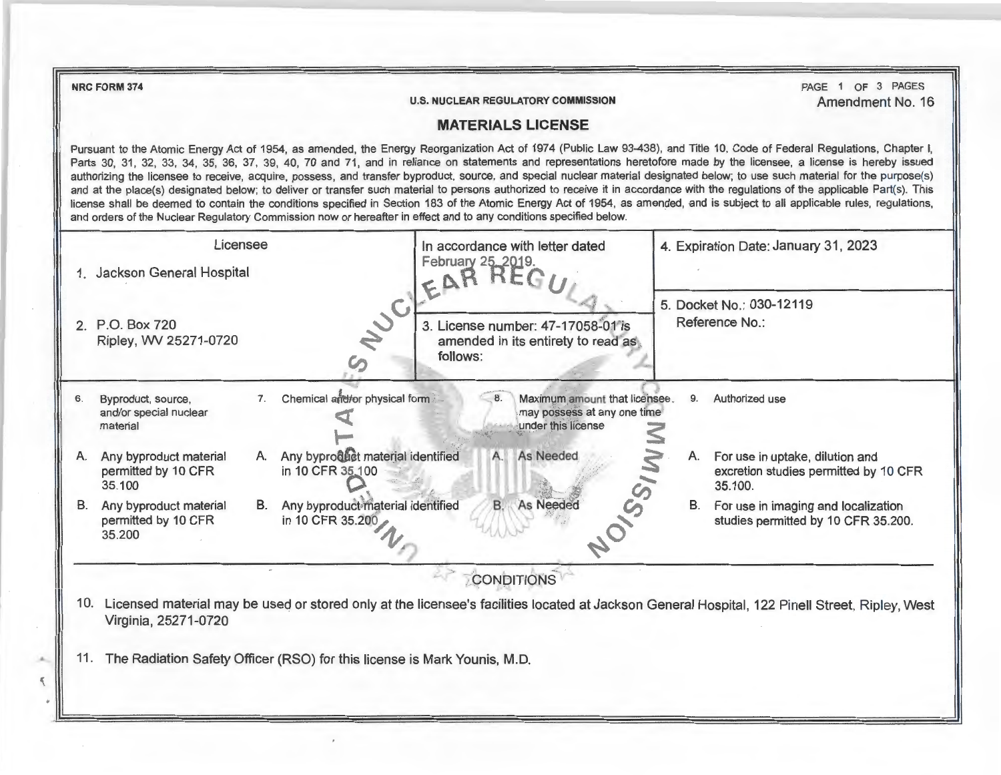**NRC FORM 374** 

...

**U.S. NUCLEAR REGULATORY COMMISSION** 

PAGE 1 OF 3 PAGES Amendment No. 16

## **MATERIALS LICENSE**

Pursuant to the Atomic Energy Act of 1954, as amended, the Energy Reorganization Act of 1974 (Public Law 93-438), and Title 10, Code of Federal Regulations, Chapter I, Parts 30, 31, 32, 33, 34, 35, 36, 37, 39, 40, 70 and 71, and in reliance on statements and representations heretofore made by the licensee, a license is hereby issued authorizing the licensee to receive, acquire, possess, and transfer byproduct, source, and special nuclear material designated below; to use such material for the purpose(s) and at the place(s) designated below; to deliver or transfer such material to persons authorized to receive it in accordance with the regulations of the applicable Part(s). This license shall be deemed fo contain the conditions specified in Section 183 of the Atomic Energy Act of 1954, as amended, and is subject to all applicable rules, regulations, and orders of the Nuclear Regulatory Commission now or hereafter in effect and to any conditions specified below.

|     | Licensee<br>Jackson General Hospital                                     |                                                             | In accordance with letter dated<br>February 25, 2019.<br>EAR REI                                                                               | 4. Expiration Date: January 31, 2023 |                                                                                     |
|-----|--------------------------------------------------------------------------|-------------------------------------------------------------|------------------------------------------------------------------------------------------------------------------------------------------------|--------------------------------------|-------------------------------------------------------------------------------------|
| 2.  | P.O. Box 720<br>Ripley, WV 25271-0720                                    | NUCI                                                        | 3. License number: 47-17058-01 is<br>amended in its entirety to read as<br>follows:                                                            |                                      | 5. Docket No.: 030-12119<br>Reference No.:                                          |
| 6.  | Byproduct, source,<br>and/or special nuclear<br>material                 | Chemical and/or physical form<br>7.                         | Maximum amount that licensee.<br>may possess at any one time<br>under this license                                                             | 9.                                   | Authorized use                                                                      |
| Α.  | Any byproduct material<br>permitted by 10 CFR<br>35.100                  | Any byproduct material identified<br>A.<br>in 10 CFR 35,100 | As Needed<br>A.                                                                                                                                | А.                                   | For use in uptake, dilution and<br>excretion studies permitted by 10 CFR<br>35.100. |
| В.  | Any byproduct material<br>permitted by 10 CFR<br>35.200                  | Any byproduct material identified<br>В.<br>in 10 CFR 35.200 | <b>B.</b><br>As Needed                                                                                                                         | В.                                   | For use in imaging and localization<br>studies permitted by 10 CFR 35.200.          |
|     |                                                                          |                                                             | <b>CONDITIONS</b>                                                                                                                              |                                      |                                                                                     |
| 10. | Virginia, 25271-0720                                                     |                                                             | Licensed material may be used or stored only at the licensee's facilities located at Jackson General Hospital, 122 Pinell Street, Ripley, West |                                      |                                                                                     |
| 11. | The Radiation Safety Officer (RSO) for this license is Mark Younis, M.D. |                                                             |                                                                                                                                                |                                      |                                                                                     |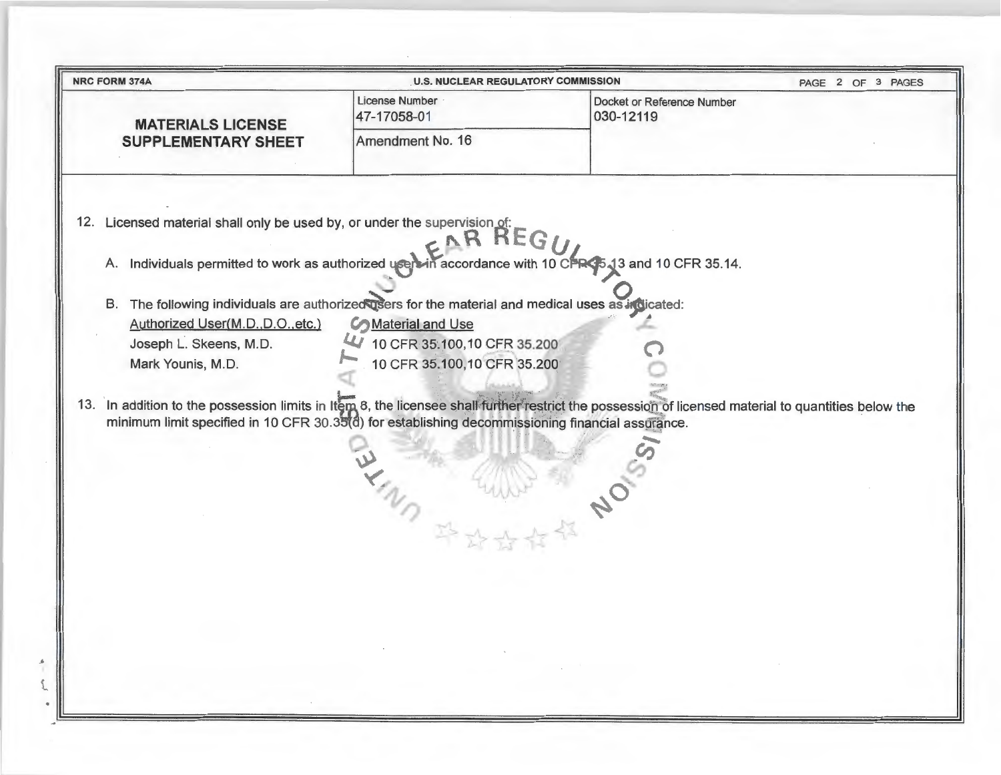| <b>NRC FORM 374A</b>                                                                                                                                                                                                                                    | <b>U.S. NUCLEAR REGULATORY COMMISSION</b> |                                         | PAGE 2 OF 3 PAGES |
|---------------------------------------------------------------------------------------------------------------------------------------------------------------------------------------------------------------------------------------------------------|-------------------------------------------|-----------------------------------------|-------------------|
| <b>MATERIALS LICENSE</b>                                                                                                                                                                                                                                | <b>License Number</b><br>47-17058-01      | Docket or Reference Number<br>030-12119 |                   |
| <b>SUPPLEMENTARY SHEET</b>                                                                                                                                                                                                                              | Amendment No. 16                          |                                         |                   |
| 12. Licensed material shall only be used by, or under the supervision of:<br>A. Individuals permitted to work as authorized users in accordance with 10 CFR 35.13 and 10 CFR 35.14.                                                                     |                                           |                                         |                   |
| B. The following individuals are authorized users for the material and medical uses as indicated:                                                                                                                                                       |                                           |                                         |                   |
| Authorized User(M.D., D.O., etc.)                                                                                                                                                                                                                       | <b>Conductional And Use</b>               |                                         |                   |
| Joseph L. Skeens, M.D.                                                                                                                                                                                                                                  | 4 10 CFR 35:100,10 CFR 35.200             |                                         |                   |
| Mark Younis, M.D.                                                                                                                                                                                                                                       | 10 CFR 35.100,10 CFR 35.200               |                                         |                   |
| 13. In addition to the possession limits in Item 8, the licensee shall further restrict the possession of licensed material to quantities below the<br>minimum limit specified in 10 CFR 30.35(d) for establishing decommissioning financial assurance. |                                           |                                         |                   |
|                                                                                                                                                                                                                                                         | MARY WILLIE NO                            |                                         |                   |
|                                                                                                                                                                                                                                                         |                                           |                                         |                   |
|                                                                                                                                                                                                                                                         |                                           |                                         |                   |
|                                                                                                                                                                                                                                                         |                                           |                                         |                   |
|                                                                                                                                                                                                                                                         |                                           |                                         |                   |
|                                                                                                                                                                                                                                                         |                                           |                                         |                   |
|                                                                                                                                                                                                                                                         |                                           |                                         |                   |